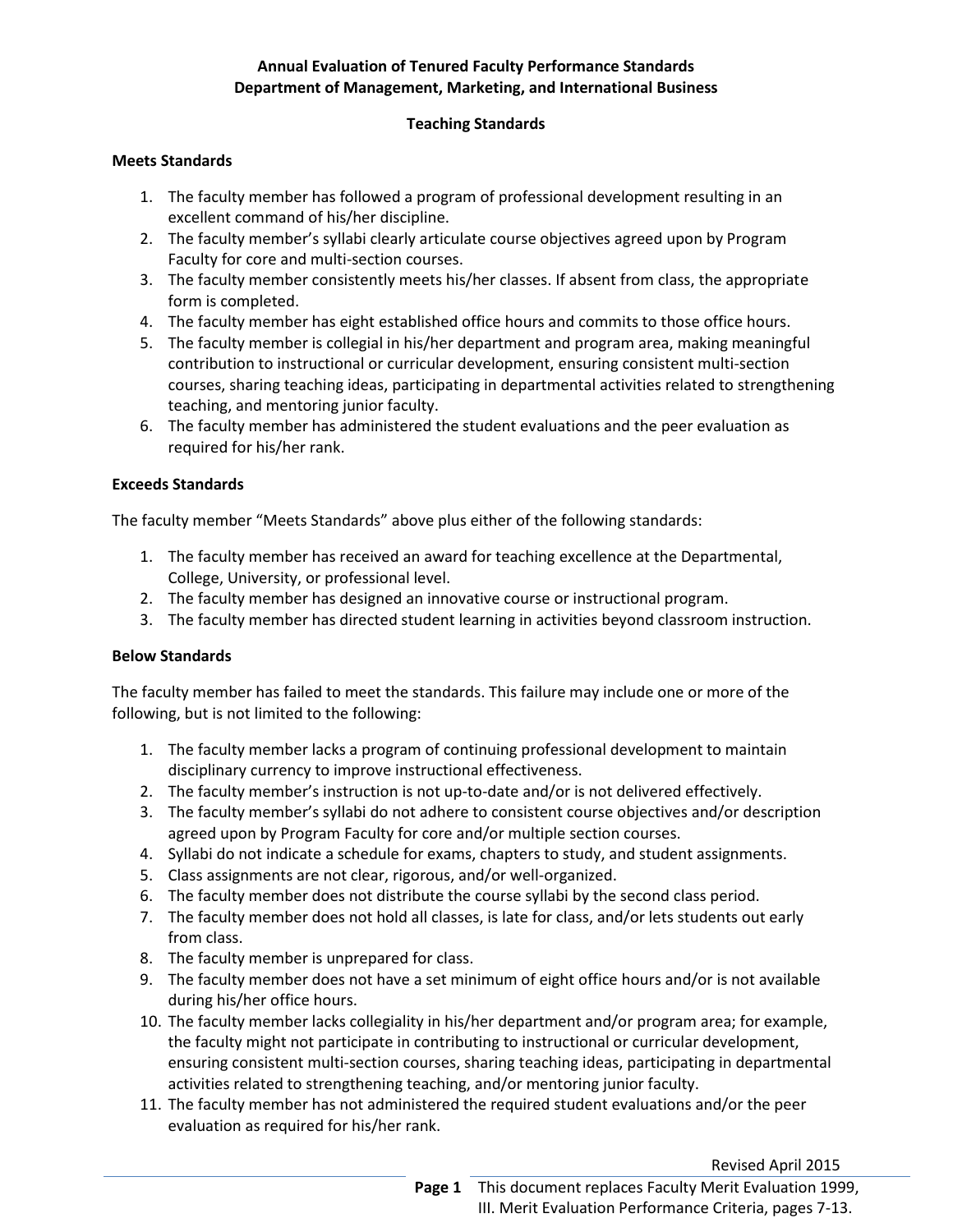# **Annual Evaluation of Tenured Faculty Performance Standards Department of Management, Marketing, and International Business**

# **Teaching Standards**

## **Meets Standards**

- 1. The faculty member has followed a program of professional development resulting in an excellent command of his/her discipline.
- 2. The faculty member's syllabi clearly articulate course objectives agreed upon by Program Faculty for core and multi-section courses.
- 3. The faculty member consistently meets his/her classes. If absent from class, the appropriate form is completed.
- 4. The faculty member has eight established office hours and commits to those office hours.
- 5. The faculty member is collegial in his/her department and program area, making meaningful contribution to instructional or curricular development, ensuring consistent multi-section courses, sharing teaching ideas, participating in departmental activities related to strengthening teaching, and mentoring junior faculty.
- 6. The faculty member has administered the student evaluations and the peer evaluation as required for his/her rank.

## **Exceeds Standards**

The faculty member "Meets Standards" above plus either of the following standards:

- 1. The faculty member has received an award for teaching excellence at the Departmental, College, University, or professional level.
- 2. The faculty member has designed an innovative course or instructional program.
- 3. The faculty member has directed student learning in activities beyond classroom instruction.

## **Below Standards**

 The faculty member has failed to meet the standards. This failure may include one or more of the following, but is not limited to the following:

- 1. The faculty member lacks a program of continuing professional development to maintain disciplinary currency to improve instructional effectiveness.
- 2. The faculty member's instruction is not up-to-date and/or is not delivered effectively.
- 3. The faculty member's syllabi do not adhere to consistent course objectives and/or description agreed upon by Program Faculty for core and/or multiple section courses.
- 4. Syllabi do not indicate a schedule for exams, chapters to study, and student assignments.
- 5. Class assignments are not clear, rigorous, and/or well-organized.
- 6. The faculty member does not distribute the course syllabi by the second class period.
- 7. The faculty member does not hold all classes, is late for class, and/or lets students out early from class.
- 8. The faculty member is unprepared for class.
- 9. The faculty member does not have a set minimum of eight office hours and/or is not available during his/her office hours.
- 10. The faculty member lacks collegiality in his/her department and/or program area; for example, the faculty might not participate in contributing to instructional or curricular development, ensuring consistent multi-section courses, sharing teaching ideas, participating in departmental activities related to strengthening teaching, and/or mentoring junior faculty.
- 11. The faculty member has not administered the required student evaluations and/or the peer evaluation as required for his/her rank.

Revised April 2015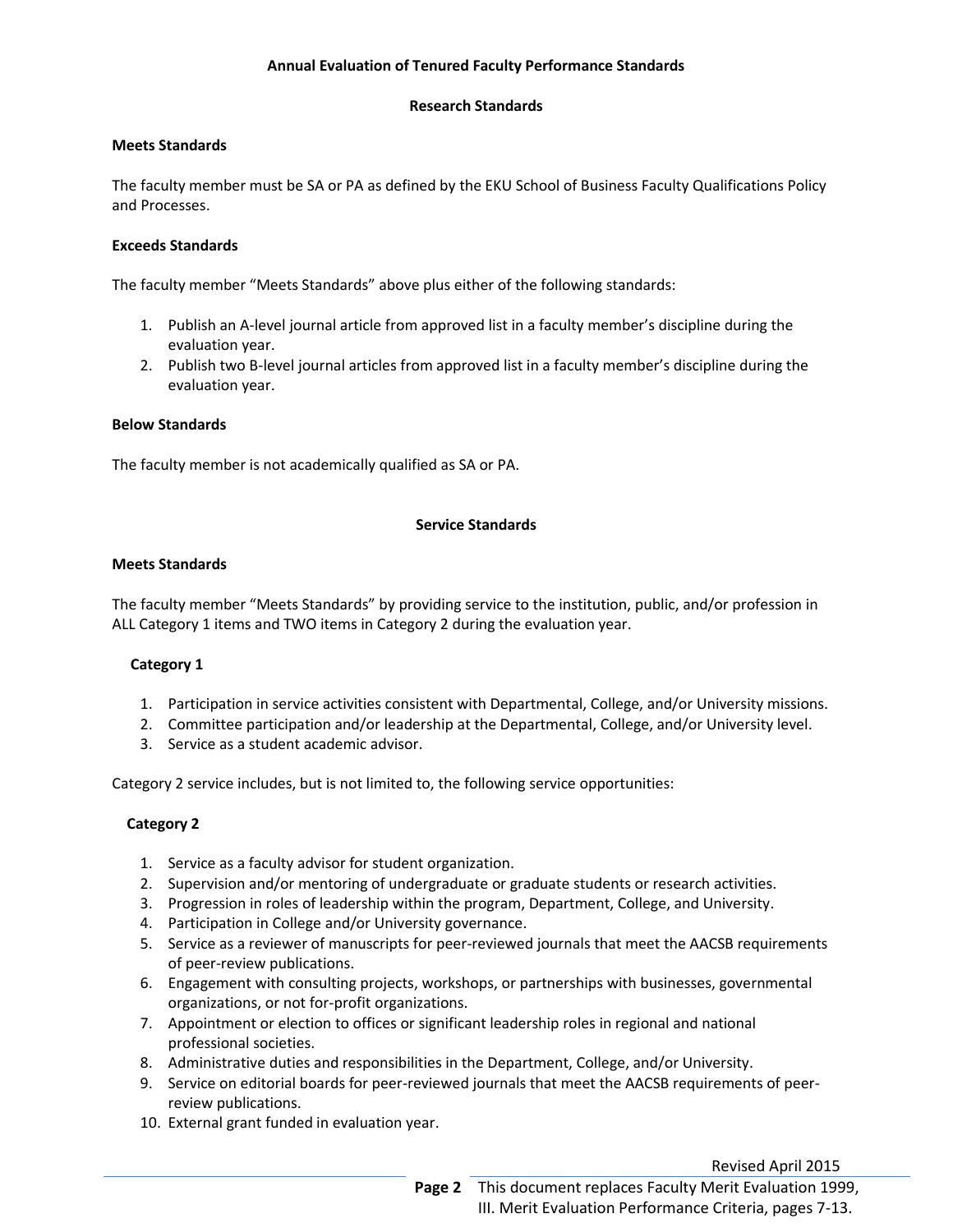## **Annual Evaluation of Tenured Faculty Performance Standards**

## **Research Standards**

## **Meets Standards**

The faculty member must be SA or PA as defined by the EKU School of Business Faculty Qualifications Policy and Processes.

#### **Exceeds Standards**

The faculty member "Meets Standards" above plus either of the following standards:

- 1. Publish an A-level journal article from approved list in a faculty member's discipline during the evaluation year.
- 2. Publish two B-level journal articles from approved list in a faculty member's discipline during the evaluation year.

## **Below Standards**

The faculty member is not academically qualified as SA or PA.

#### **Service Standards**

## **Meets Standards**

 ALL Category 1 items and TWO items in Category 2 during the evaluation year. The faculty member "Meets Standards" by providing service to the institution, public, and/or profession in

## **Category 1**

- 1. Participation in service activities consistent with Departmental, College, and/or University missions.
- 2. Committee participation and/or leadership at the Departmental, College, and/or University level.
- 3. Service as a student academic advisor.

Category 2 service includes, but is not limited to, the following service opportunities:

## **Category 2**

- 1. Service as a faculty advisor for student organization.
- 2. Supervision and/or mentoring of undergraduate or graduate students or research activities.
- 3. Progression in roles of leadership within the program, Department, College, and University.<br>4. Participation in College and/or University governance.
- 
- 5. Service as a reviewer of manuscripts for peer-reviewed journals that meet the AACSB requirements of peer-review publications.
- 6. Engagement with consulting projects, workshops, or partnerships with businesses, governmental organizations, or not for-profit organizations.
- 7. Appointment or election to offices or significant leadership roles in regional and national professional societies.
- 8. Administrative duties and responsibilities in the Department, College, and/or University.
- 9. Service on editorial boards for peer-reviewed journals that meet the AACSB requirements of peerreview publications.
- 10. External grant funded in evaluation year.

Revised April 2015